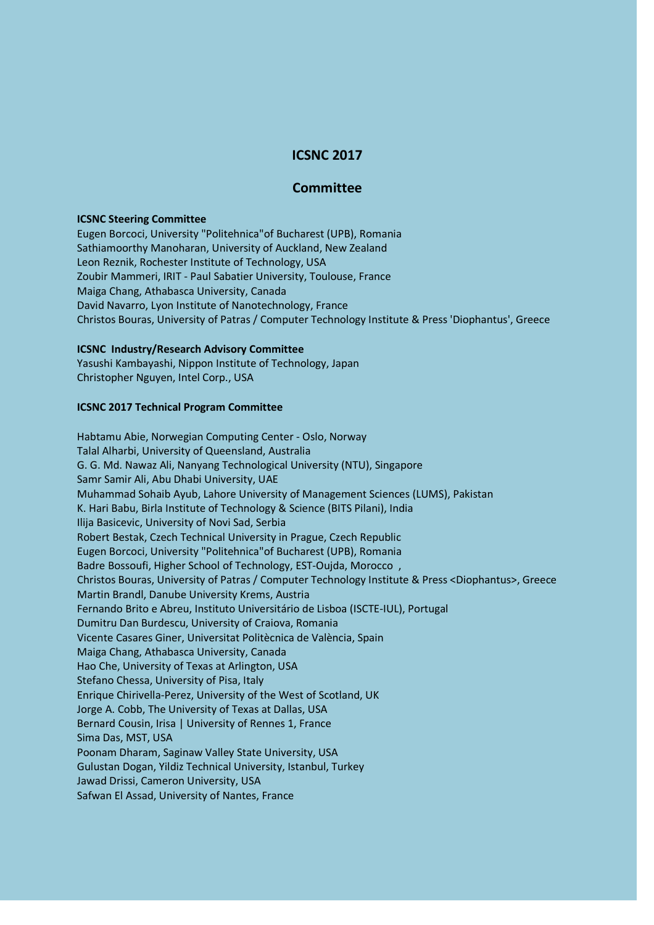# **ICSNC 2017**

## **Committee**

#### **ICSNC Steering Committee**

Eugen Borcoci, University "Politehnica"of Bucharest (UPB), Romania Sathiamoorthy Manoharan, University of Auckland, New Zealand Leon Reznik, Rochester Institute of Technology, USA Zoubir Mammeri, IRIT - Paul Sabatier University, Toulouse, France Maiga Chang, Athabasca University, Canada David Navarro, Lyon Institute of Nanotechnology, France Christos Bouras, University of Patras / Computer Technology Institute & Press 'Diophantus', Greece

#### **ICSNC Industry/Research Advisory Committee**

Yasushi Kambayashi, Nippon Institute of Technology, Japan Christopher Nguyen, Intel Corp., USA

### **ICSNC 2017 Technical Program Committee**

Habtamu Abie, Norwegian Computing Center - Oslo, Norway Talal Alharbi, University of Queensland, Australia G. G. Md. Nawaz Ali, Nanyang Technological University (NTU), Singapore Samr Samir Ali, Abu Dhabi University, UAE Muhammad Sohaib Ayub, Lahore University of Management Sciences (LUMS), Pakistan K. Hari Babu, Birla Institute of Technology & Science (BITS Pilani), India Ilija Basicevic, University of Novi Sad, Serbia Robert Bestak, Czech Technical University in Prague, Czech Republic Eugen Borcoci, University "Politehnica"of Bucharest (UPB), Romania Badre Bossoufi, Higher School of Technology, EST-Oujda, Morocco , Christos Bouras, University of Patras / Computer Technology Institute & Press <Diophantus>, Greece Martin Brandl, Danube University Krems, Austria Fernando Brito e Abreu, Instituto Universitário de Lisboa (ISCTE-IUL), Portugal Dumitru Dan Burdescu, University of Craiova, Romania Vicente Casares Giner, Universitat Politècnica de València, Spain Maiga Chang, Athabasca University, Canada Hao Che, University of Texas at Arlington, USA Stefano Chessa, University of Pisa, Italy Enrique Chirivella-Perez, University of the West of Scotland, UK Jorge A. Cobb, The University of Texas at Dallas, USA Bernard Cousin, Irisa | University of Rennes 1, France Sima Das, MST, USA Poonam Dharam, Saginaw Valley State University, USA Gulustan Dogan, Yildiz Technical University, Istanbul, Turkey Jawad Drissi, Cameron University, USA Safwan El Assad, University of Nantes, France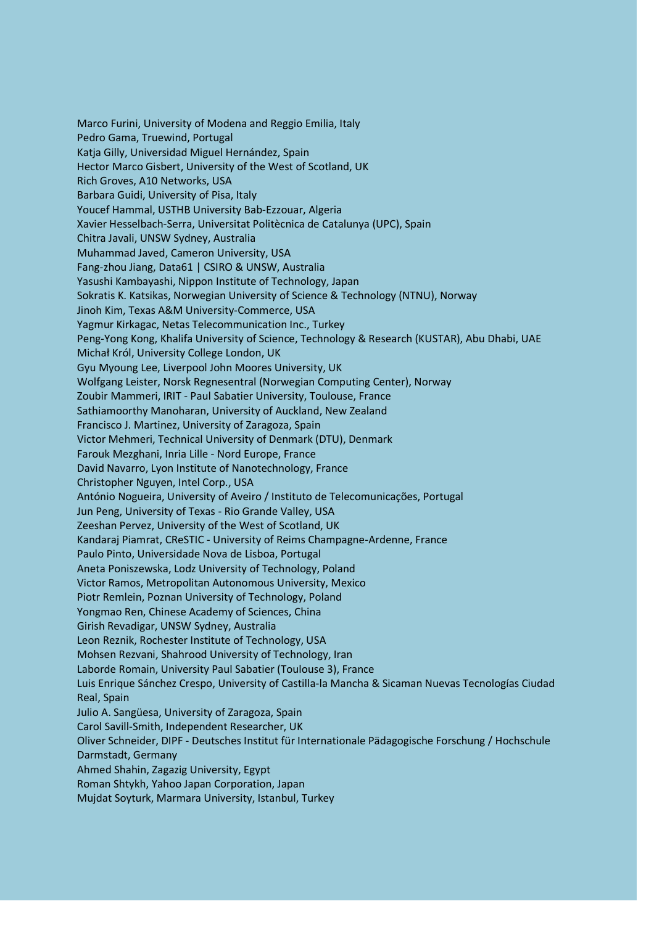Marco Furini, University of Modena and Reggio Emilia, Italy Pedro Gama, Truewind, Portugal Katja Gilly, Universidad Miguel Hernández, Spain Hector Marco Gisbert, University of the West of Scotland, UK Rich Groves, A10 Networks, USA Barbara Guidi, University of Pisa, Italy Youcef Hammal, USTHB University Bab-Ezzouar, Algeria Xavier Hesselbach-Serra, Universitat Politècnica de Catalunya (UPC), Spain Chitra Javali, UNSW Sydney, Australia Muhammad Javed, Cameron University, USA Fang-zhou Jiang, Data61 | CSIRO & UNSW, Australia Yasushi Kambayashi, Nippon Institute of Technology, Japan Sokratis K. Katsikas, Norwegian University of Science & Technology (NTNU), Norway Jinoh Kim, Texas A&M University-Commerce, USA Yagmur Kirkagac, Netas Telecommunication Inc., Turkey Peng-Yong Kong, Khalifa University of Science, Technology & Research (KUSTAR), Abu Dhabi, UAE Michał Król, University College London, UK Gyu Myoung Lee, Liverpool John Moores University, UK Wolfgang Leister, Norsk Regnesentral (Norwegian Computing Center), Norway Zoubir Mammeri, IRIT - Paul Sabatier University, Toulouse, France Sathiamoorthy Manoharan, University of Auckland, New Zealand Francisco J. Martinez, University of Zaragoza, Spain Victor Mehmeri, Technical University of Denmark (DTU), Denmark Farouk Mezghani, Inria Lille - Nord Europe, France David Navarro, Lyon Institute of Nanotechnology, France Christopher Nguyen, Intel Corp., USA António Nogueira, University of Aveiro / Instituto de Telecomunicações, Portugal Jun Peng, University of Texas - Rio Grande Valley, USA Zeeshan Pervez, University of the West of Scotland, UK Kandaraj Piamrat, CReSTIC - University of Reims Champagne-Ardenne, France Paulo Pinto, Universidade Nova de Lisboa, Portugal Aneta Poniszewska, Lodz University of Technology, Poland Victor Ramos, Metropolitan Autonomous University, Mexico Piotr Remlein, Poznan University of Technology, Poland Yongmao Ren, Chinese Academy of Sciences, China Girish Revadigar, UNSW Sydney, Australia Leon Reznik, Rochester Institute of Technology, USA Mohsen Rezvani, Shahrood University of Technology, Iran Laborde Romain, University Paul Sabatier (Toulouse 3), France Luis Enrique Sánchez Crespo, University of Castilla-la Mancha & Sicaman Nuevas Tecnologías Ciudad Real, Spain Julio A. Sangüesa, University of Zaragoza, Spain Carol Savill-Smith, Independent Researcher, UK Oliver Schneider, DIPF - Deutsches Institut für Internationale Pädagogische Forschung / Hochschule Darmstadt, Germany Ahmed Shahin, Zagazig University, Egypt Roman Shtykh, Yahoo Japan Corporation, Japan Mujdat Soyturk, Marmara University, Istanbul, Turkey